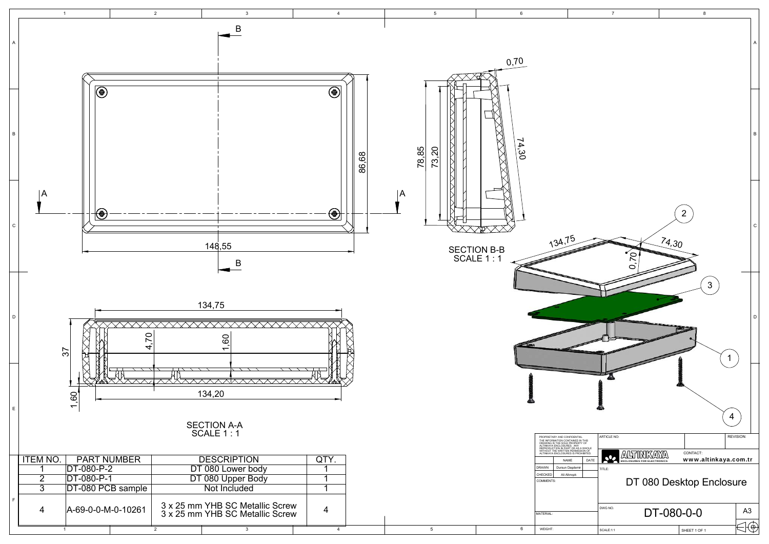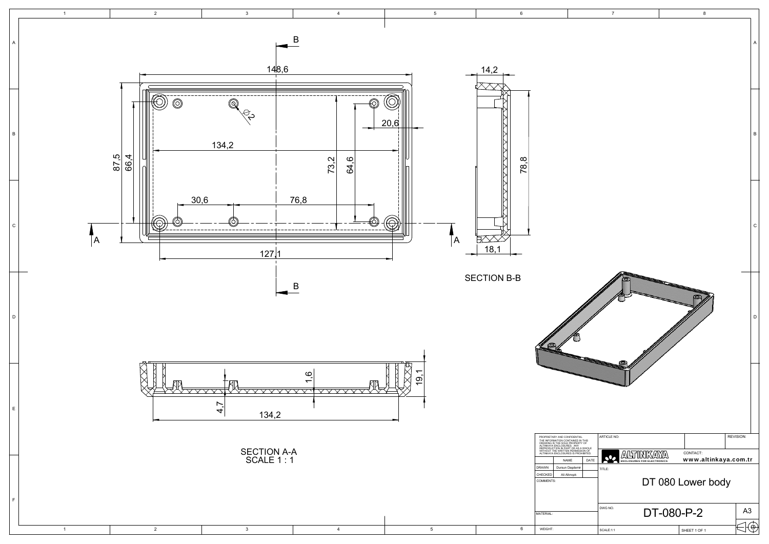|                                             | $\overline{7}$                                       |    | 8                                |           |              |  |  |  |
|---------------------------------------------|------------------------------------------------------|----|----------------------------------|-----------|--------------|--|--|--|
|                                             |                                                      |    |                                  |           | A            |  |  |  |
|                                             |                                                      |    |                                  |           | $\sf B$      |  |  |  |
|                                             |                                                      |    |                                  |           | $\mathsf{C}$ |  |  |  |
|                                             | S.                                                   |    |                                  |           | D            |  |  |  |
|                                             |                                                      |    |                                  |           |              |  |  |  |
| IAL<br>IN THIS<br>RTY OF                    | ARTICLE NO:                                          |    |                                  | REVISION: |              |  |  |  |
| S A WHOLE<br>SSION OF<br>≀OHIBITED.<br>DATE | ∖∆ٍ<br>′≜<br>Q.<br><b>ENCLOSURES FOR ELECTRONICS</b> | ′≜ | CONTACT:<br>www.altinkaya.com.tr |           |              |  |  |  |
| hir                                         | TITLE:<br>DT 080 Lower body                          |    |                                  |           |              |  |  |  |
|                                             | DWG NO.<br>DT-080-P-2<br>A <sub>3</sub>              |    |                                  |           |              |  |  |  |
|                                             | SCALE:1:1                                            |    | SHEET 1 OF 1                     |           |              |  |  |  |

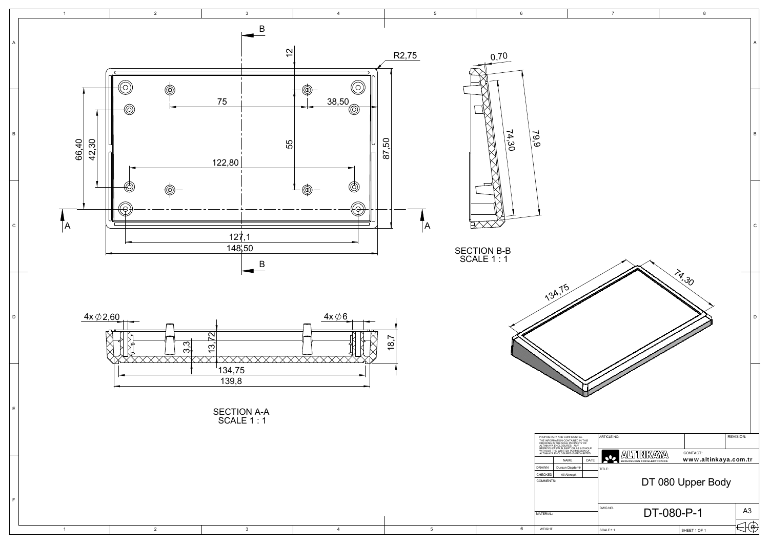

|                                          | 7                                            |            | 8                                |                |   |  |  |  |
|------------------------------------------|----------------------------------------------|------------|----------------------------------|----------------|---|--|--|--|
|                                          |                                              |            |                                  |                | A |  |  |  |
|                                          |                                              |            |                                  |                | B |  |  |  |
|                                          |                                              |            |                                  |                | C |  |  |  |
| <b>CONTRACTOR</b>                        |                                              |            | 19.30                            |                | D |  |  |  |
|                                          |                                              |            |                                  |                |   |  |  |  |
| <b>AL</b><br>IN THIS<br>!TY OF           | ARTICLE NO:                                  |            |                                  | REVISION:      |   |  |  |  |
| A WHOLE<br>SSION OF<br>OHIBITED.<br>DATE | A,<br>Δ<br><b>ENCLOSURES FOR ELECTRONICS</b> | ∕∆         | CONTACT:<br>www.altinkaya.com.tr |                |   |  |  |  |
| ir                                       | TITLE:<br>DT 080 Upper Body                  |            |                                  |                |   |  |  |  |
|                                          | DWG NO.                                      | DT-080-P-1 |                                  | A <sub>3</sub> |   |  |  |  |
|                                          | SCALE:1:1                                    |            | SHEET 1 OF 1                     |                | E |  |  |  |